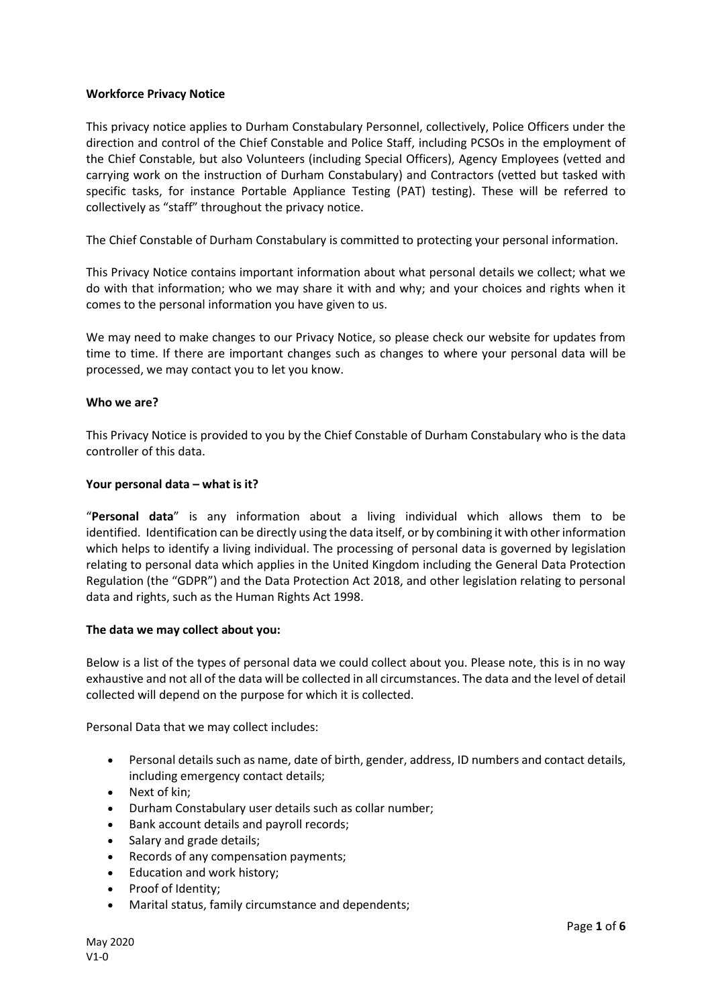### **Workforce Privacy Notice**

This privacy notice applies to Durham Constabulary Personnel, collectively, Police Officers under the direction and control of the Chief Constable and Police Staff, including PCSOs in the employment of the Chief Constable, but also Volunteers (including Special Officers), Agency Employees (vetted and carrying work on the instruction of Durham Constabulary) and Contractors (vetted but tasked with specific tasks, for instance Portable Appliance Testing (PAT) testing). These will be referred to collectively as "staff" throughout the privacy notice.

The Chief Constable of Durham Constabulary is committed to protecting your personal information.

This Privacy Notice contains important information about what personal details we collect; what we do with that information; who we may share it with and why; and your choices and rights when it comes to the personal information you have given to us.

We may need to make changes to our Privacy Notice, so please check our website for updates from time to time. If there are important changes such as changes to where your personal data will be processed, we may contact you to let you know.

#### **Who we are?**

This Privacy Notice is provided to you by the Chief Constable of Durham Constabulary who is the data controller of this data.

#### **Your personal data – what is it?**

"**Personal data**" is any information about a living individual which allows them to be identified. Identification can be directly using the data itself, or by combining it with other information which helps to identify a living individual. The processing of personal data is governed by legislation relating to personal data which applies in the United Kingdom including the General Data Protection Regulation (the "GDPR") and the Data Protection Act 2018, and other legislation relating to personal data and rights, such as the Human Rights Act 1998.

#### **The data we may collect about you:**

Below is a list of the types of personal data we could collect about you. Please note, this is in no way exhaustive and not all of the data will be collected in all circumstances. The data and the level of detail collected will depend on the purpose for which it is collected.

Personal Data that we may collect includes:

- Personal details such as name, date of birth, gender, address, ID numbers and contact details, including emergency contact details;
- Next of kin:
- Durham Constabulary user details such as collar number;
- Bank account details and payroll records;
- Salary and grade details;
- Records of any compensation payments;
- Education and work history;
- Proof of Identity;
- Marital status, family circumstance and dependents;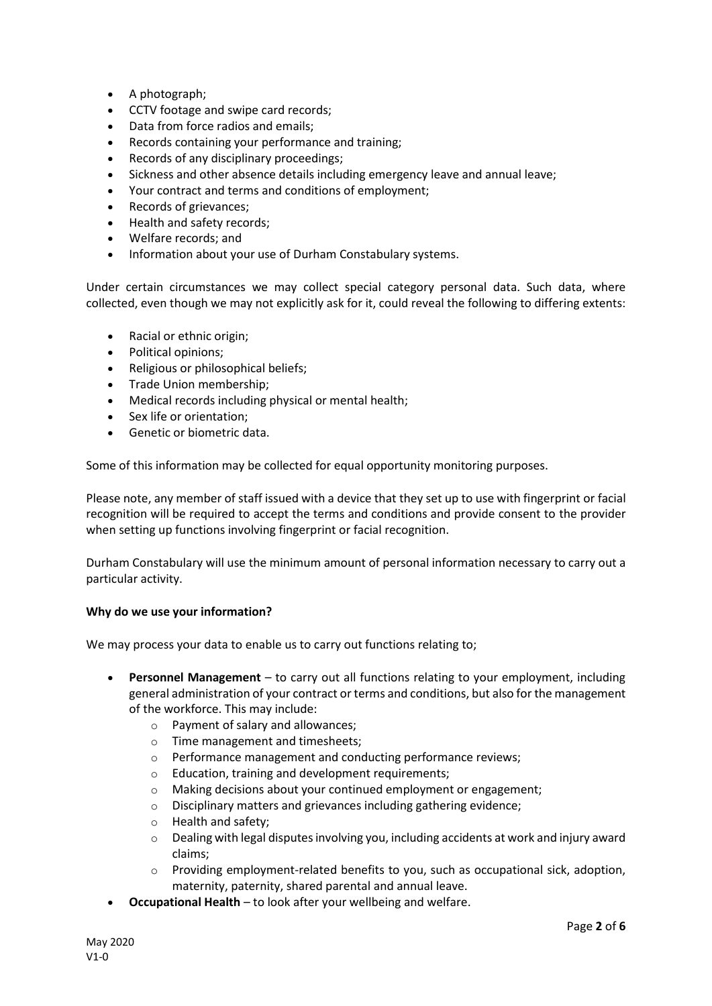- A photograph;
- CCTV footage and swipe card records;
- Data from force radios and emails;
- Records containing your performance and training;
- Records of any disciplinary proceedings;
- Sickness and other absence details including emergency leave and annual leave;
- Your contract and terms and conditions of employment;
- Records of grievances;
- Health and safety records;
- Welfare records; and
- Information about your use of Durham Constabulary systems.

Under certain circumstances we may collect special category personal data. Such data, where collected, even though we may not explicitly ask for it, could reveal the following to differing extents:

- Racial or ethnic origin;
- Political opinions;
- Religious or philosophical beliefs;
- Trade Union membership;
- Medical records including physical or mental health;
- Sex life or orientation;
- Genetic or biometric data.

Some of this information may be collected for equal opportunity monitoring purposes.

Please note, any member of staff issued with a device that they set up to use with fingerprint or facial recognition will be required to accept the terms and conditions and provide consent to the provider when setting up functions involving fingerprint or facial recognition.

Durham Constabulary will use the minimum amount of personal information necessary to carry out a particular activity.

# **Why do we use your information?**

We may process your data to enable us to carry out functions relating to;

- **Personnel Management**  to carry out all functions relating to your employment, including general administration of your contract or terms and conditions, but also for the management of the workforce. This may include:
	- o Payment of salary and allowances;
	- o Time management and timesheets;
	- o Performance management and conducting performance reviews;
	- o Education, training and development requirements;
	- o Making decisions about your continued employment or engagement;
	- o Disciplinary matters and grievances including gathering evidence;
	- o Health and safety;
	- $\circ$  Dealing with legal disputes involving you, including accidents at work and injury award claims;
	- o Providing employment-related benefits to you, such as occupational sick, adoption, maternity, paternity, shared parental and annual leave.
- **Occupational Health** to look after your wellbeing and welfare.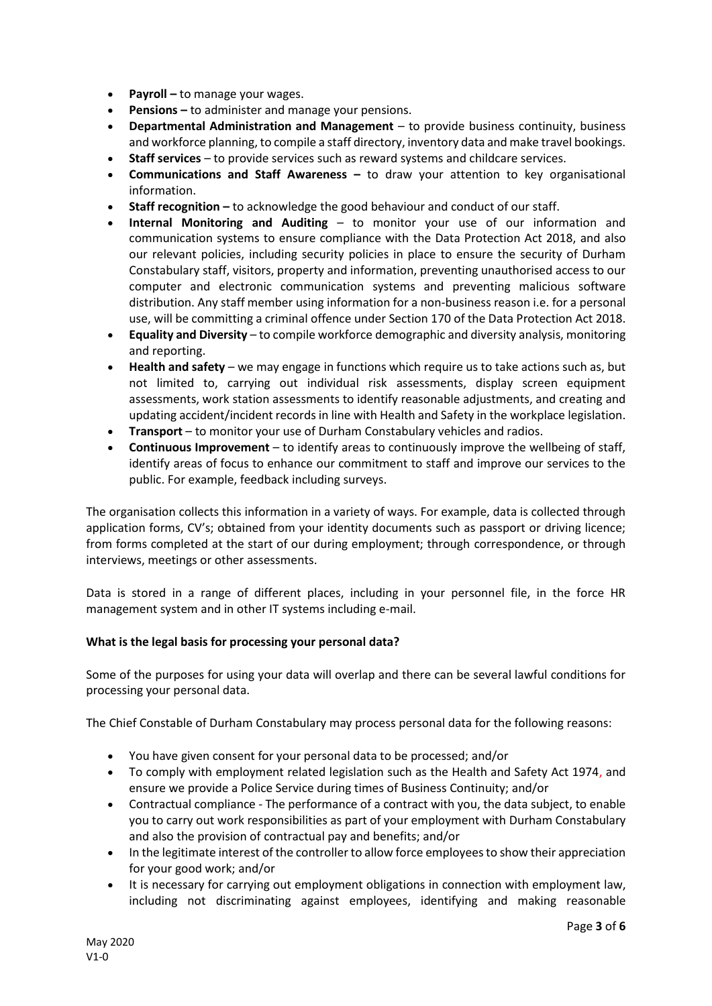- **Payroll –** to manage your wages.
- **Pensions –** to administer and manage your pensions.
- **Departmental Administration and Management**  to provide business continuity, business and workforce planning, to compile a staff directory, inventory data and make travel bookings.
- **Staff services** to provide services such as reward systems and childcare services.
- **Communications and Staff Awareness –** to draw your attention to key organisational information.
- **Staff recognition –** to acknowledge the good behaviour and conduct of our staff.
- **Internal Monitoring and Auditing** to monitor your use of our information and communication systems to ensure compliance with the Data Protection Act 2018, and also our relevant policies, including security policies in place to ensure the security of Durham Constabulary staff, visitors, property and information, preventing unauthorised access to our computer and electronic communication systems and preventing malicious software distribution. Any staff member using information for a non-business reason i.e. for a personal use, will be committing a criminal offence under Section 170 of the Data Protection Act 2018.
- **Equality and Diversity**  to compile workforce demographic and diversity analysis, monitoring and reporting.
- **Health and safety**  we may engage in functions which require us to take actions such as, but not limited to, carrying out individual risk assessments, display screen equipment assessments, work station assessments to identify reasonable adjustments, and creating and updating accident/incident records in line with Health and Safety in the workplace legislation.
- **Transport** to monitor your use of Durham Constabulary vehicles and radios.
- **Continuous Improvement**  to identify areas to continuously improve the wellbeing of staff, identify areas of focus to enhance our commitment to staff and improve our services to the public. For example, feedback including surveys.

The organisation collects this information in a variety of ways. For example, data is collected through application forms, CV's; obtained from your identity documents such as passport or driving licence; from forms completed at the start of our during employment; through correspondence, or through interviews, meetings or other assessments.

Data is stored in a range of different places, including in your personnel file, in the force HR management system and in other IT systems including e-mail.

#### **What is the legal basis for processing your personal data?**

Some of the purposes for using your data will overlap and there can be several lawful conditions for processing your personal data.

The Chief Constable of Durham Constabulary may process personal data for the following reasons:

- You have given consent for your personal data to be processed; and/or
- To comply with employment related legislation such as the Health and Safety Act 1974, and ensure we provide a Police Service during times of Business Continuity; and/or
- Contractual compliance The performance of a contract with you, the data subject, to enable you to carry out work responsibilities as part of your employment with Durham Constabulary and also the provision of contractual pay and benefits; and/or
- In the legitimate interest of the controller to allow force employees to show their appreciation for your good work; and/or
- It is necessary for carrying out employment obligations in connection with employment law, including not discriminating against employees, identifying and making reasonable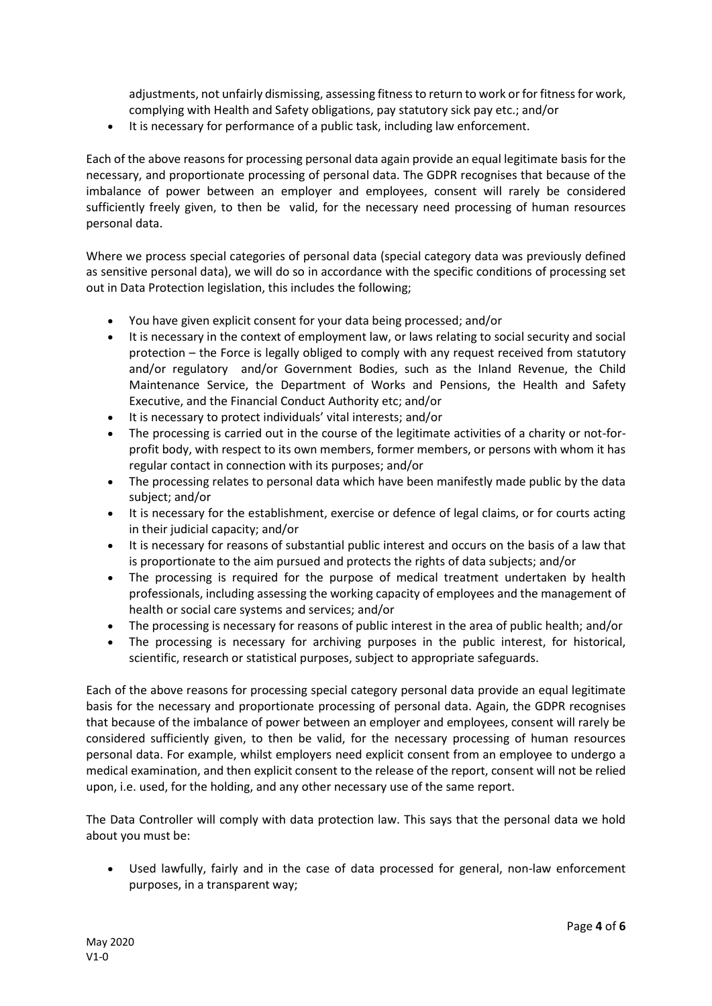adjustments, not unfairly dismissing, assessing fitness to return to work or for fitness for work, complying with Health and Safety obligations, pay statutory sick pay etc.; and/or

It is necessary for performance of a public task, including law enforcement.

Each of the above reasons for processing personal data again provide an equal legitimate basis for the necessary, and proportionate processing of personal data. The GDPR recognises that because of the imbalance of power between an employer and employees, consent will rarely be considered sufficiently freely given, to then be valid, for the necessary need processing of human resources personal data.

Where we process special categories of personal data (special category data was previously defined as sensitive personal data), we will do so in accordance with the specific conditions of processing set out in Data Protection legislation, this includes the following;

- You have given explicit consent for your data being processed; and/or
- It is necessary in the context of employment law, or laws relating to social security and social protection – the Force is legally obliged to comply with any request received from statutory and/or regulatory and/or Government Bodies, such as the Inland Revenue, the Child Maintenance Service, the Department of Works and Pensions, the Health and Safety Executive, and the Financial Conduct Authority etc; and/or
- It is necessary to protect individuals' vital interests; and/or
- The processing is carried out in the course of the legitimate activities of a charity or not-forprofit body, with respect to its own members, former members, or persons with whom it has regular contact in connection with its purposes; and/or
- The processing relates to personal data which have been manifestly made public by the data subject; and/or
- It is necessary for the establishment, exercise or defence of legal claims, or for courts acting in their judicial capacity; and/or
- It is necessary for reasons of substantial public interest and occurs on the basis of a law that is proportionate to the aim pursued and protects the rights of data subjects; and/or
- The processing is required for the purpose of medical treatment undertaken by health professionals, including assessing the working capacity of employees and the management of health or social care systems and services; and/or
- The processing is necessary for reasons of public interest in the area of public health; and/or
- The processing is necessary for archiving purposes in the public interest, for historical, scientific, research or statistical purposes, subject to appropriate safeguards.

Each of the above reasons for processing special category personal data provide an equal legitimate basis for the necessary and proportionate processing of personal data. Again, the GDPR recognises that because of the imbalance of power between an employer and employees, consent will rarely be considered sufficiently given, to then be valid, for the necessary processing of human resources personal data. For example, whilst employers need explicit consent from an employee to undergo a medical examination, and then explicit consent to the release of the report, consent will not be relied upon, i.e. used, for the holding, and any other necessary use of the same report.

The Data Controller will comply with data protection law. This says that the personal data we hold about you must be:

 Used lawfully, fairly and in the case of data processed for general, non-law enforcement purposes, in a transparent way;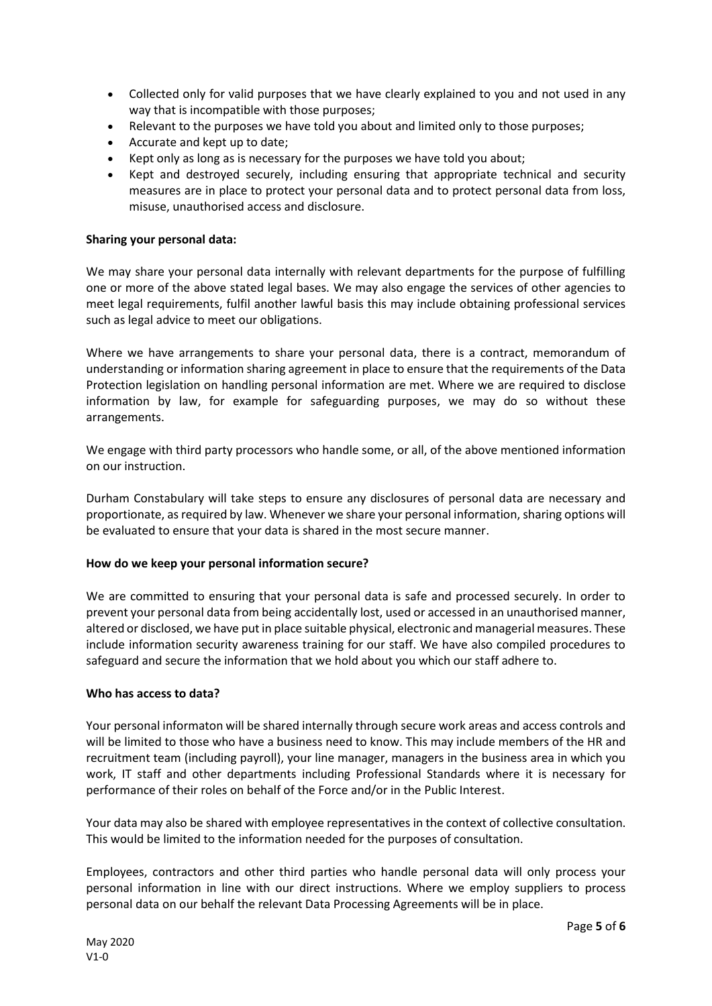- Collected only for valid purposes that we have clearly explained to you and not used in any way that is incompatible with those purposes;
- Relevant to the purposes we have told you about and limited only to those purposes;
- Accurate and kept up to date;
- Kept only as long as is necessary for the purposes we have told you about;
- Kept and destroyed securely, including ensuring that appropriate technical and security measures are in place to protect your personal data and to protect personal data from loss, misuse, unauthorised access and disclosure.

### **Sharing your personal data:**

We may share your personal data internally with relevant departments for the purpose of fulfilling one or more of the above stated legal bases. We may also engage the services of other agencies to meet legal requirements, fulfil another lawful basis this may include obtaining professional services such as legal advice to meet our obligations.

Where we have arrangements to share your personal data, there is a contract, memorandum of understanding or information sharing agreement in place to ensure that the requirements of the Data Protection legislation on handling personal information are met. Where we are required to disclose information by law, for example for safeguarding purposes, we may do so without these arrangements.

We engage with third party processors who handle some, or all, of the above mentioned information on our instruction.

Durham Constabulary will take steps to ensure any disclosures of personal data are necessary and proportionate, as required by law. Whenever we share your personal information, sharing options will be evaluated to ensure that your data is shared in the most secure manner.

#### **How do we keep your personal information secure?**

We are committed to ensuring that your personal data is safe and processed securely. In order to prevent your personal data from being accidentally lost, used or accessed in an unauthorised manner, altered or disclosed, we have put in place suitable physical, electronic and managerial measures. These include information security awareness training for our staff. We have also compiled procedures to safeguard and secure the information that we hold about you which our staff adhere to.

#### **Who has access to data?**

Your personal informaton will be shared internally through secure work areas and access controls and will be limited to those who have a business need to know. This may include members of the HR and recruitment team (including payroll), your line manager, managers in the business area in which you work, IT staff and other departments including Professional Standards where it is necessary for performance of their roles on behalf of the Force and/or in the Public Interest.

Your data may also be shared with employee representatives in the context of collective consultation. This would be limited to the information needed for the purposes of consultation.

Employees, contractors and other third parties who handle personal data will only process your personal information in line with our direct instructions. Where we employ suppliers to process personal data on our behalf the relevant Data Processing Agreements will be in place.